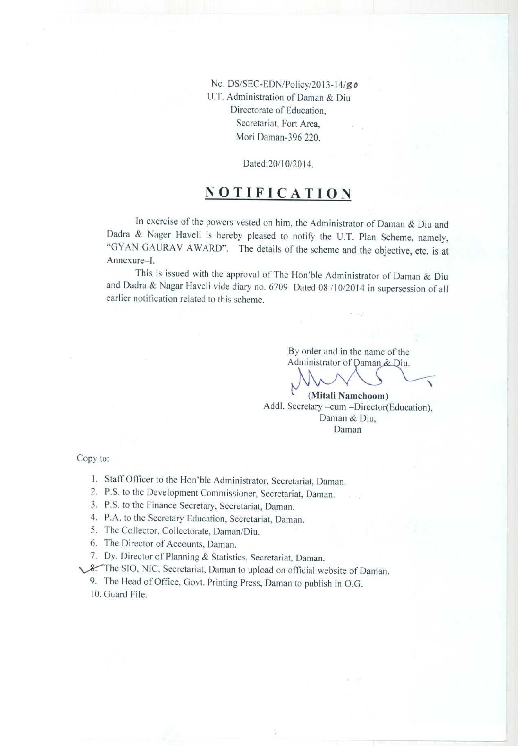No. DS/SEC-EDN/Policy/**2013-14/9o** U.T. Administration **of Daman & Diu** Directorate **of Education, Secretariat**, Fort Area, Mori Daman-396 220.

Dated: 20/10/2014.

# **NOTIFICATION**

In exercise of the powers vested on him, the Administrator of Daman & Diu and Dadra & Nager Haveli is hereby pleased to notify the U.T. Plan Scheme, namely, GYAN GAURAV AWARD". The details of the scheme and the objective, etc. is at Annexure-1.

This is issued with the approval of The Hon'ble Administrator of Daman & Diu and Dadra & Nagar Haveli vide diary no. 6709 Dated 08 /10/2014 in supersession of all earlier notification related to this scheme.

> By order **and in the name of the** Administrator of Daman & Diu.

**(Mitali Namchoom)** Addl. Secretary -**cum -Director**(**Education),** Daman & Diu, Daman

Copy to:

- 1. Staff Officer to the Hon'ble Administrator, Secretariat, Daman.
- 2. P.S. to the Development Commissioner, Secretariat, Daman.  $\alpha = 2$
- 3. P.S. to **the Finance Secretary** , **Secretariat, Daman.**
- 4. P.A. to **the Secretary Education** , **Secretariat**, **Daman.**
- 5. The Collector**, Collectorate** , **Daman/Diu.**
- **6. The Director of Accounts**, **Daman.**
- **7. Dy. Director of Planning** & **Statistics, Secretariat**, **Daman.**
- \,,^The SIO. NIC. **Secretariat**, **Daman to upload on official website of Daman.**
	- 9. The **Head** of Office, Govt. **Printing Press, Daman to publish in O.G.**
	- 10. Guard File.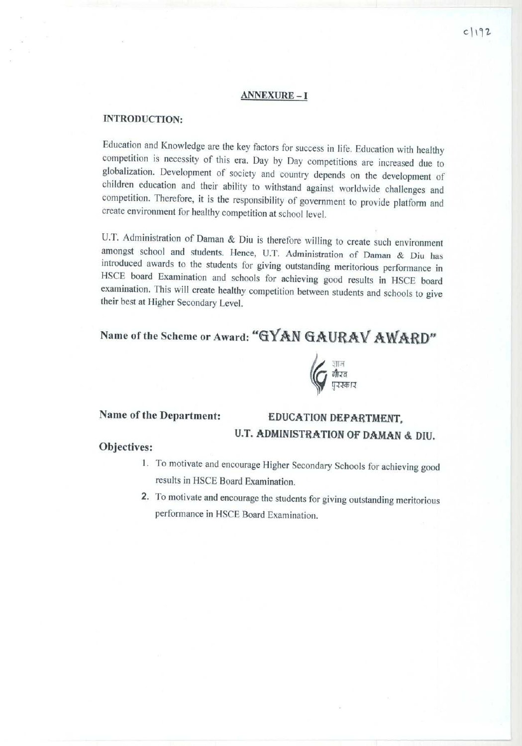#### ANNEXURE-I

#### INTRODUCTION:

Education and Knowledge are the key factors for success in life. Education with healthy competition is necessity of this era. Day by Day competitions are increased due to globalization. Development of society and country depends on the development of children education and their ability to withstand against worldwide challenges and competition. Therefore, it is the responsibility of government to provide platform and create environment for healthy competition at school level.

U.T. Administration **of Daman & Diu is therefore willing to create such environment amongst school and students**. **Hence**, U.T. Administration **of Darnan & Diu has introduced awards to the students for giving outstanding meritorious performance in** HSCE **board Examination and schools** for achieving **good results** in HSCE board **examination** . This will create **healthy competition between students and schools to give their best at** Higher Secondary Level.

# Name of the Scheme or Award: "GYAN GAURAV AWARD"



# **Name of the Department**: EDUCATION DEPARTMENT, U.T. ADMINISTRATION OF DAMAN & DIU.

#### **Objectives:**

- 1. To motivate **and encourage Higher** Secondary Schools for **achieving good results in** HSCE Board **Examination.**
- **2. To motivate and encourage the students for giving outstanding meritorious performance** in HSCE **Board Examination.**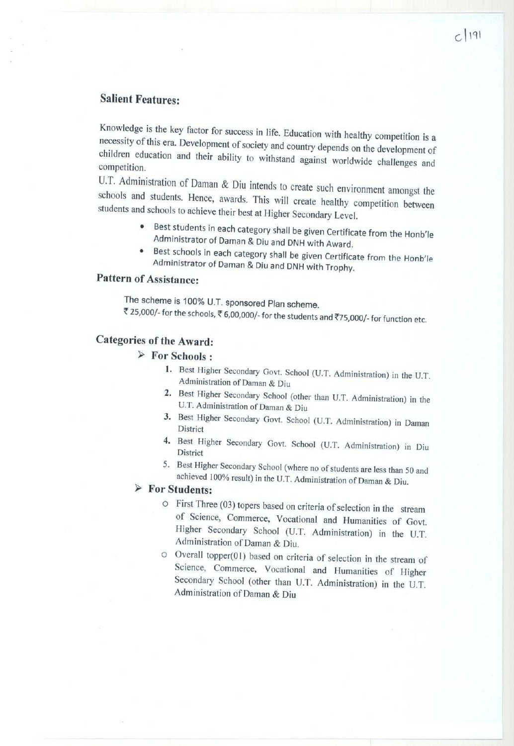### **Salient Features:**

Knowledge is the key factor for success in life. Education with healthy competition is a necessity of this era. Development of society and country depends on the development of children education and their ability to withstand against worldwide challenges and competition.

U.T. Administration of Daman & Diu intends to create such environment amongst the schools and students. Hence, awards. This will create healthy competition between students and schools to achieve their best at Higher Secondary Level.

- Best students in each category shall be given Certificate from the Honb'le Administrator of Daman & Diu and DNH with Award.
- Best schools in each category shall be given Certificate from the Honb'le Administrator of Daman & Diu and DNH with Trophy.

## **Pattern** of Assistance:

The scheme is 100% U.T. sponsored Plan scheme. ₹ 25,000/- for the schools, ₹ 6,00,000/- for the students and ₹75,000/- for function etc.

## **Categories of the Award:**

#### <sup>â</sup> **For Schools :**

- 1. Best Higher Secondary Govt. School (U.T. Administration) in the U.T. Administration of Daman & Diu
- 2. Best Higher Secondary School (other than U.T. Administration) in the U.T. Administration of Daman & Diu
- 3. Best Higher Secondary Govt. School (U.T. Administration) **in Daman** District
- 4. Best Higher Secondary Govt. School (U.T. Administration) in Diu District
- 5. Best Higher Secondary School (where no of students **are less than 50 and** achieved 100% **result**) in the U.T. Administration of Daman & Diu.

#### <sup>â</sup> **For Students:**

- o First Three (03) topers based on criteria of selection in the stream of Science, Commerce, Vocational and Humanities of Govt. Higher Secondary School (U.T. Administration) in the U.T. Administration of Daman & Diu.
- o Overall topper(0l) based on criteria of selection in the stream of Science, Commerce, Vocational and Humanities of Higher Secondary School (other than U.T. Administration) in the U.T. Administration of Daman & Diu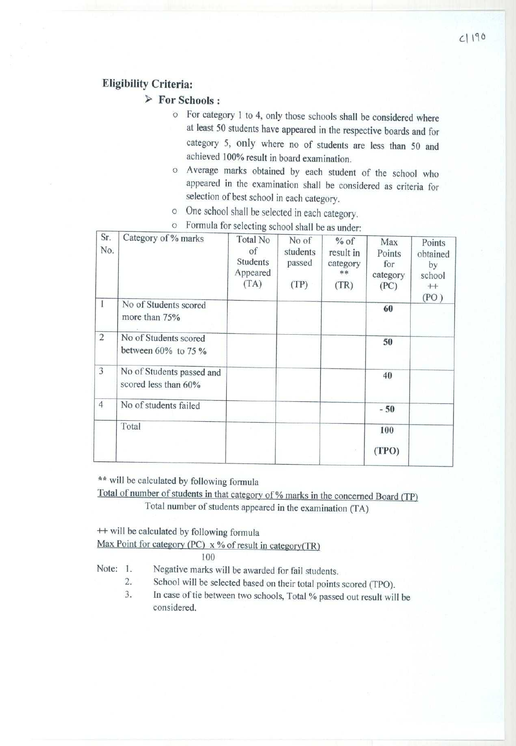#### **Eligibility Criteria:**

**> For Schools :**

- o For category I to 4, only those **schools shall be considered where at least 50 students have appeared in the respective boards and for** category 5, only where no of students are less than 50 and **achieved 100% result in board examination.**
- o Average **marks obtained** by each student of the school who **appeared in the examination** shall be considered **as criteria for** selection of best school in each category.
- o One school shall be selected in each category.

| Sr.<br>No.     | Category of % marks                                | Total No<br>of<br>Students<br>Appeared<br>(TA) | No of<br>students<br>passed<br>(TP) | $%$ of<br>result in<br>category<br>**<br>(TR) | Max<br>Points<br>for<br>category<br>(PC) | Points<br>obtained<br>by<br>school<br>$^{+}$ |
|----------------|----------------------------------------------------|------------------------------------------------|-------------------------------------|-----------------------------------------------|------------------------------------------|----------------------------------------------|
| Ï              | No of Students scored<br>more than 75%             |                                                |                                     |                                               | 60                                       | (PO)                                         |
| $\overline{c}$ | No of Students scored<br>between $60\%$ to 75 $\%$ |                                                |                                     |                                               | 50                                       |                                              |
| 3              | No of Students passed and<br>scored less than 60%  |                                                |                                     |                                               | 40                                       |                                              |
| $\overline{4}$ | No of students failed                              |                                                |                                     |                                               | $-50$                                    |                                              |
|                | Total                                              |                                                |                                     |                                               | 100<br>(TPO)                             |                                              |

o Formula for **selecting** school **shall be as under:**

**\*\* will be calculated** by following **formula**

Total of **number of students in that category of % marks in the concerned** Board (TP) Total number **of students appeared** in the examination (TA)

**++ will be calculated by following formula Max Point for category** (**PC) x % of result in category(TR)**

100

**Note: 1. Negative marks will be awarded for fail students.**

- 2. School will be selected based on their total points scored (TPO).
- 3. In case of tie between two schools, Total % passed out result will be considered.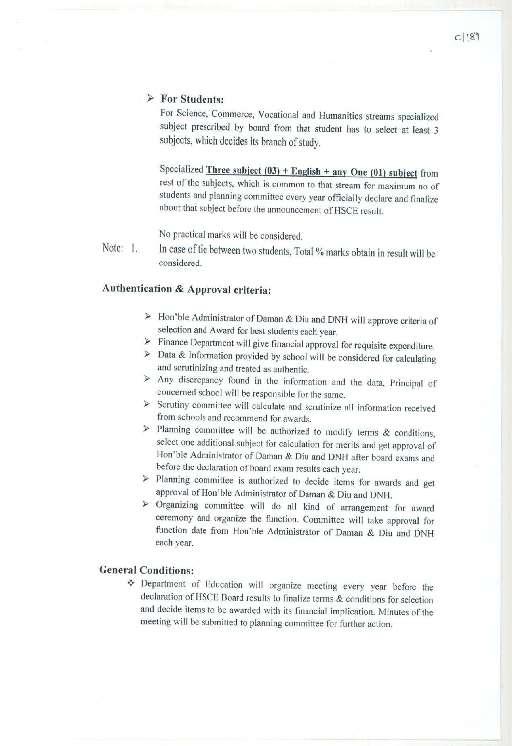#### **> For Students:**

For Science, Commerce, Vocational and **Humanities streams** specialized subject prescribed by board from that student has to select at least 3 subjects, which decides its branch of study.

Specialized Three **subject** (**03) + English** <sup>+</sup> **any One** (01) subject from rest of the subjects, which is common to that stream for maximum no of students and planning committee every year officially declare and finalize about that subject before the announcement of HSCE result.

No practical marks will be considered.

Note: 1. In case of tie between two students, Total % marks obtain in result will be considered.

## **Authentication** & Approval **criteria:**

- <sup>â</sup> Hon'ble Administrator of Daman & Diu and DNH will approve criteria of selection and Award for best students each year.
- $\triangleright$  Finance Department will give financial approval for requisite expenditure.
- > Data & Information provided by school will be considered for calculating and scrutinizing and treated as authentic.
- > Any discrepancy found in the information and the data, Principal of concerned school will be responsible for the same.
- > Scrutiny committee will calculate and scrutinize all information received from schools and recommend for awards.
- $\triangleright$  Planning committee will be authorized to modify terms & conditions, select one additional subject for calculation for merits and get approval of Hon'ble Administrator of Daman & Diu and DNH after board exams and before the declaration of board exam results each year.
- $\triangleright$  Planning committee is authorized to decide items for awards and get approval of Hon'ble Administrator of Daman & Diu and DNH.
- > Organizing committee will do all kind of arrangement for award ceremony and organize the function. Committee will take approval for function date from Hon'ble Administrator of Daman & Diu and DNH each year.

#### **General Conditions:**

v Department of Education will organize meeting every year before the declaration of HSCE Board results to finalize terms & conditions for selection and decide items to be awarded with its financial implication. Minutes of the meeting will be submitted to planning committee for further action.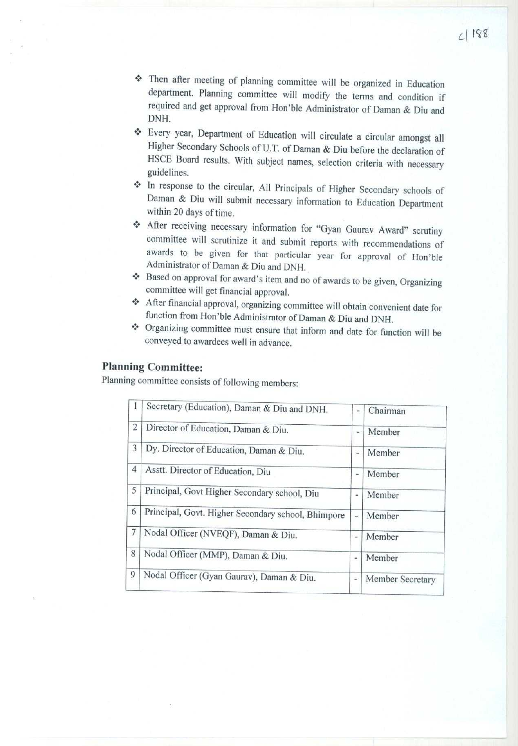- \* Then after meeting of planning committee will be organized in Education department. Planning committee will modify the terrns and condition if required and get approval from Hon'ble Administrator of Daman & Diu and DNH.
- <sup>v</sup> Every year, Department of Education will circulate a circular amongst all Higher Secondary Schools of U.T. of Daman & Diu before the declaration of HSCE Board results. With subject names, selection criteria with necessary guidelines.
- <sup>v</sup> In response to the circular, All Principals of Higher Secondary schools of Daman & Diu will submit necessary information to Education Department within 20 days of time.
- <sup>v</sup> After receiving necessary information for "Gyan Gaurav Award" scrutiny committee will scrutinize it and submit reports with recommendations of awards to he given for that particular year for approval of Hon'ble Administrator of Daman & Diu and DNIT.
- \* Based on approval for award's item and no of awards to be given, Organizing committee will get financial approval.
- v After financial approval, organizing committee will obtain convenient date for function from Hon'ble Administrator of Daman & Diu and DNH.
- <sup>v</sup> Organizing committee must ensure that inform and date for function will be conveyed to awardees well in advance.

#### **Planning Committee:**

Planning committee consists of following members:

| 1              | Secretary (Education), Daman & Diu and DNH.        | $\frac{1}{2}$ | Chairman         |
|----------------|----------------------------------------------------|---------------|------------------|
| $\overline{2}$ | Director of Education, Daman & Diu.                | ٠             | Member           |
| 3              | Dy. Director of Education, Daman & Diu.            | ÷,            | Member           |
| $\overline{4}$ | Asstt. Director of Education, Diu                  | ۰             | Member           |
| 5              | Principal, Govt Higher Secondary school, Diu       | ä,            | Member           |
| 6              | Principal, Govt. Higher Secondary school, Bhimpore | ×.            | Member           |
| 7              | Nodal Officer (NVEQF), Daman & Diu.                | a,            | Member           |
| 8              | Nodal Officer (MMP), Daman & Diu.                  | ۰             | Member           |
| 9              | Nodal Officer (Gyan Gaurav), Daman & Diu.          | ٠             | Member Secretary |
|                |                                                    |               |                  |